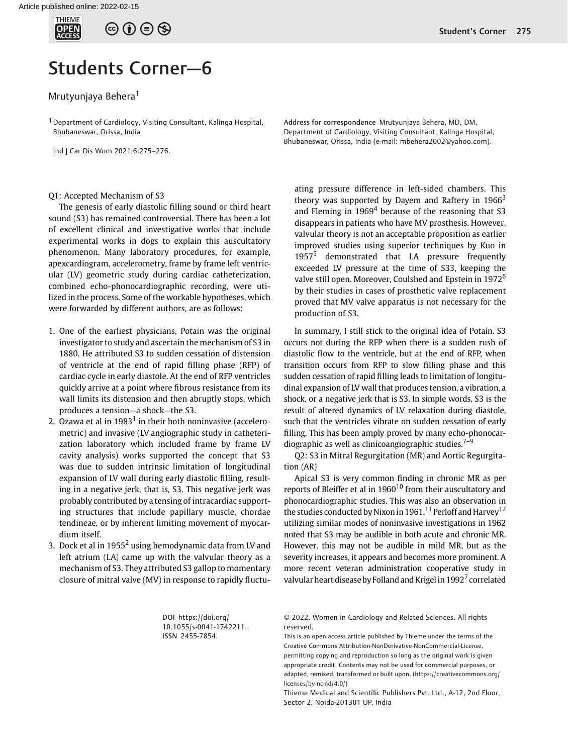

## Students Corner—6

## Mrutyunjaya Behera<sup>1</sup>

<sup>1</sup> Department of Cardiology, Visiting Consultant, Kalinga Hospital, Bhubaneswar, Orissa, India

Ind J Car Dis Wom 2021;6:275–276.

## Q1: Accepted Mechanism of S3

The genesis of early diastolic filling sound or third heart sound (S3) has remained controversial. There has been a lot of excellent clinical and investigative works that include experimental works in dogs to explain this auscultatory phenomenon. Many laboratory procedures, for example, apexcardiogram, accelerometry, frame by frame left ventricular (LV) geometric study during cardiac catheterization, combined echo-phonocardiographic recording, were utilized in the process. Some of the workable hypotheses, which were forwarded by different authors, are as follows:

- 1. One of the earliest physicians, Potain was the original investigator to study and ascertain the mechanism of S3 in 1880. He attributed S3 to sudden cessation of distension of ventricle at the end of rapid filling phase (RFP) of cardiac cycle in early diastole. At the end of RFP ventricles quickly arrive at a point where fibrous resistance from its wall limits its distension and then abruptly stops, which produces a tension—a shock—the S3.
- 2. Ozawa et al in  $1983<sup>1</sup>$  in their both noninvasive (accelerometric) and invasive (LV angiographic study in catheterization laboratory which included frame by frame LV cavity analysis) works supported the concept that S3 was due to sudden intrinsic limitation of longitudinal expansion of LV wall during early diastolic filling, resulting in a negative jerk, that is, S3. This negative jerk was probably contributed by a tensing of intracardiac supporting structures that include papillary muscle, chordae tendineae, or by inherent limiting movement of myocardium itself.
- 3. Dock et al in 1955<sup>2</sup> using hemodynamic data from LV and left atrium (LA) came up with the valvular theory as a mechanism of S3. They attributed S3 gallop to momentary closure of mitral valve (MV) in response to rapidly fluctu-

Student's Corner 275

Address for correspondence Mrutyunjaya Behera, MD, DM, Department of Cardiology, Visiting Consultant, Kalinga Hospital, Bhubaneswar, Orissa, India (e-mail: [mbehera2002@yahoo.com](mailto:mbehera2002@yahoo.com)).

ating pressure difference in left-sided chambers. This theory was supported by Dayem and Raftery in  $1966<sup>3</sup>$ and Fleming in  $1969<sup>4</sup>$  because of the reasoning that S3 disappears in patients who have MV prosthesis. However, valvular theory is not an acceptable proposition as earlier improved studies using superior techniques by Kuo in 1957 $5$  demonstrated that LA pressure frequently exceeded LV pressure at the time of S33, keeping the valve still open. Moreover, Coulshed and Epstein in 1972<sup>6</sup> by their studies in cases of prosthetic valve replacement proved that MV valve apparatus is not necessary for the production of S3.

In summary, I still stick to the original idea of Potain. S3 occurs not during the RFP when there is a sudden rush of diastolic flow to the ventricle, but at the end of RFP, when transition occurs from RFP to slow filling phase and this sudden cessation of rapid filling leads to limitation of longitudinal expansion of LV wall that produces tension, a vibration, a shock, or a negative jerk that is S3. In simple words, S3 is the result of altered dynamics of LV relaxation during diastole, such that the ventricles vibrate on sudden cessation of early filling. This has been amply proved by many echo-phonocardiographic as well as clinicoangiographic studies. $7-9$ 

Q2: S3 in Mitral Regurgitation (MR) and Aortic Regurgitation (AR)

Apical S3 is very common finding in chronic MR as per reports of Bleiffer et al in  $1960^{10}$  from their auscultatory and phonocardiographic studies. This was also an observation in the studies conducted by Nixon in 1961.<sup>11</sup> Perloff and Harvey<sup>12</sup> utilizing similar modes of noninvasive investigations in 1962 noted that S3 may be audible in both acute and chronic MR. However, this may not be audible in mild MR, but as the severity increases, it appears and becomes more prominent. A more recent veteran administration cooperative study in valvular heart disease by Folland and Krigel in 1992<sup>7</sup> correlated

DOI [https://doi.org/](https://doi.org/10.1055/s-0041-1742211) [10.1055/s-0041-1742211](https://doi.org/10.1055/s-0041-1742211). ISSN 2455-7854.

© 2022. Women in Cardiology and Related Sciences. All rights reserved.

This is an open access article published by Thieme under the terms of the Creative Commons Attribution-NonDerivative-NonCommercial-License, permitting copying and reproduction so long as the original work is given appropriate credit. Contents may not be used for commercial purposes, or adapted, remixed, transformed or built upon. (https://creativecommons.org/ licenses/by-nc-nd/4.0/)

Thieme Medical and Scientific Publishers Pvt. Ltd., A-12, 2nd Floor, Sector 2, Noida-201301 UP, India